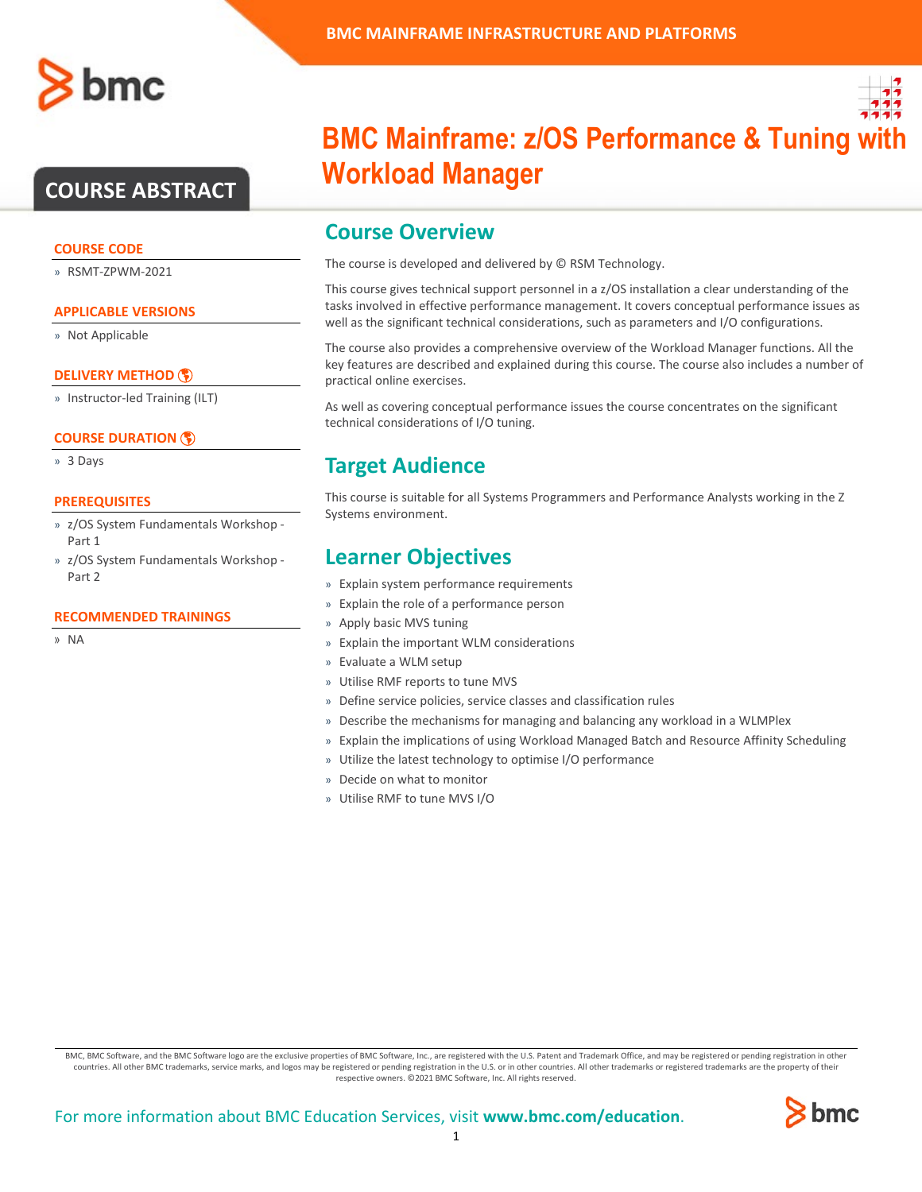# **COURSE ABSTRACT**

### **COURSE CODE**

» RSMT-ZPWM-2021

## **APPLICABLE VERSIONS**

» Not Applicable

## **[DELIVERY METHOD](http://www.bmc.com/education/modality.html)**

» Instructor-led Training (ILT)

## **[COURSE DURATION](http://www.bmc.com/education/learning-paths/education-filters-learning-paths.html)**

» 3 Days

### **PREREQUISITES**

- » z/OS System Fundamentals Workshop Part 1
- » z/OS System Fundamentals Workshop Part 2

#### **RECOMMENDED TRAININGS**

» NA



# **BMC Mainframe: z/OS Performance & Tuning w Workload Manager**

# **Course Overview**

The course is developed and delivered by © RSM Technology.

This course gives technical support personnel in a z/OS installation a clear understanding of the tasks involved in effective performance management. It covers conceptual performance issues as well as the significant technical considerations, such as parameters and I/O configurations.

The course also provides a comprehensive overview of the Workload Manager functions. All the key features are described and explained during this course. The course also includes a number of practical online exercises.

As well as covering conceptual performance issues the course concentrates on the significant technical considerations of I/O tuning.

# **Target Audience**

This course is suitable for all Systems Programmers and Performance Analysts working in the Z Systems environment.

# **Learner Objectives**

- » Explain system performance requirements
- » Explain the role of a performance person
- » Apply basic MVS tuning
- » Explain the important WLM considerations
- » Evaluate a WLM setup
- » Utilise RMF reports to tune MVS
- » Define service policies, service classes and classification rules
- » Describe the mechanisms for managing and balancing any workload in a WLMPlex
- » Explain the implications of using Workload Managed Batch and Resource Affinity Scheduling
- » Utilize the latest technology to optimise I/O performance
- » Decide on what to monitor
- » Utilise RMF to tune MVS I/O

BMC, BMC Software, and the BMC Software logo are the exclusive properties of BMC Software, Inc., are registered with the U.S. Patent and Trademark Office, and may be registered or pending registration in other countries. All other BMC trademarks, service marks, and logos may be registered or pending registration in the U.S. or in other countries. All other trademarks or registered trademarks are the property of their respective owners. ©2021 BMC Software, Inc. All rights reserved.

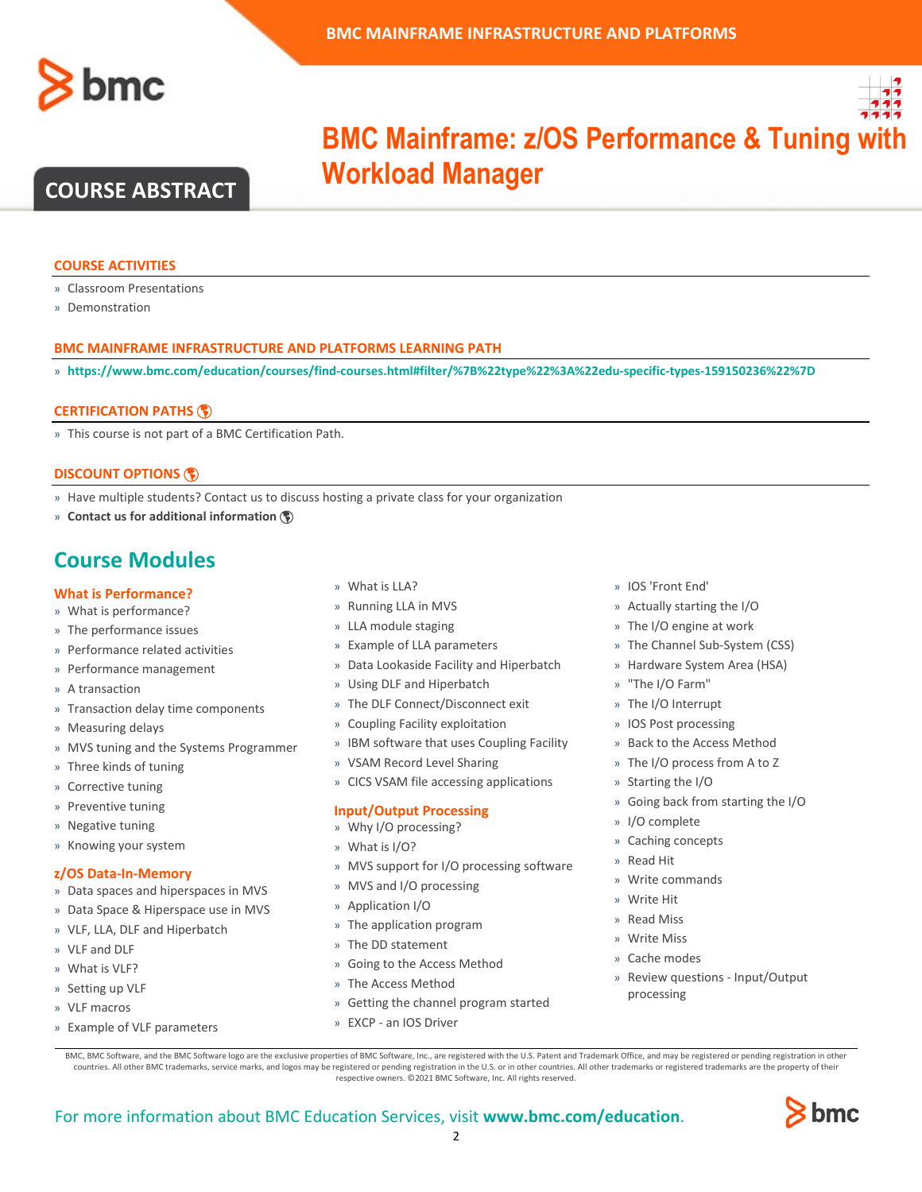

**BMC Mainframe: z/OS Performance & Tuning w** 

# **COURSE ABSTRACT**

#### **COURSE ACTIVITIES**

- » Classroom Presentations
- » Demonstration

### **BMC MAINFRAME INFRASTRUCTURE AND PLATFORMS LEARNING PATH**

» **<https://www.bmc.com/education/courses/find-courses.html#filter/%7B%22type%22%3A%22edu-specific-types-159150236%22%7D>**

**Workload Manager**

#### **[CERTIFICATION PATHS](http://www.bmc.com/education/certification-programs)**

» This course is not part of a BMC Certification Path.

### **[DISCOUNT OPTIONS](http://www.bmc.com/education/customer-service/customer-service.html)**

- » Have multiple students? Contact us to discuss hosting a private class for your organization
- » **[Contact us for additional information](http://www.bmc.com/education)**

# **Course Modules**

# **What is Performance?**

- » What is performance?
- » The performance issues
- » Performance related activities
- » Performance management
- » A transaction
- » Transaction delay time components
- » Measuring delays
- » MVS tuning and the Systems Programmer
- » Three kinds of tuning
- » Corrective tuning
- » Preventive tuning
- » Negative tuning
- » Knowing your system

#### **z/OS Data-In-Memory**

- » Data spaces and hiperspaces in MVS
- » Data Space & Hiperspace use in MVS
- » VLF, LLA, DLF and Hiperbatch
- » VLF and DLF
- » What is VLF?
- » Setting up VLF
- » VLF macros
- » Example of VLF parameters
- » What is LLA?
- » Running LLA in MVS
- » LLA module staging
- » Example of LLA parameters
- » Data Lookaside Facility and Hiperbatch
- » Using DLF and Hiperbatch
- » The DLF Connect/Disconnect exit
- » Coupling Facility exploitation
- » IBM software that uses Coupling Facility
- » VSAM Record Level Sharing
- » CICS VSAM file accessing applications

#### **Input/Output Processing**

- » Why I/O processing?
- » What is I/O?
- » MVS support for I/O processing software
- » MVS and I/O processing
- » Application I/O
- » The application program
- » The DD statement
- » Going to the Access Method
- » The Access Method
- » Getting the channel program started
- » EXCP an IOS Driver
- » IOS 'Front End'
- » Actually starting the I/O
- » The I/O engine at work
- » The Channel Sub-System (CSS)
- » Hardware System Area (HSA)
- » "The I/O Farm"
- » The I/O Interrupt
- » IOS Post processing
- » Back to the Access Method
- » The I/O process from A to Z
- » Starting the I/O
- » Going back from starting the I/O
- » I/O complete
- » Caching concepts
- » Read Hit
- » Write commands
- » Write Hit
- » Read Miss
- » Write Miss
- » Cache modes
- » Review questions Input/Output processing

BMC, BMC Software, and the BMC Software logo are the exclusive properties of BMC Software, Inc., are registered with the U.S. Patent and Trademark Office, and may be registered or pending registration in other countries. All other BMC trademarks, service marks, and logos may be registered or pending registration in the U.S. or in other countries. All other trademarks or registered trademarks are the property of their respective owners. ©2021 BMC Software, Inc. All rights reserved.

 $\mathfrak{Z}$ 

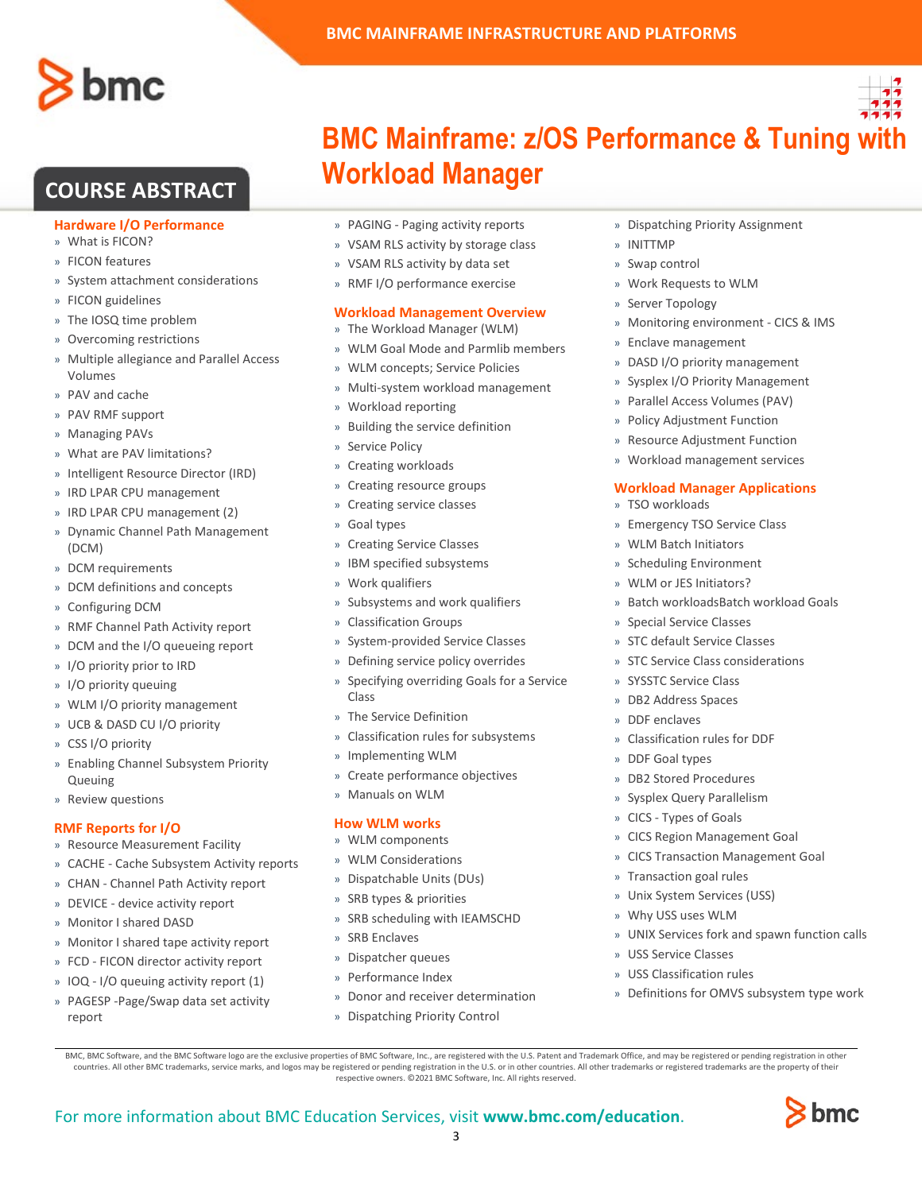

# **COURSE ABSTRACT**

### **Hardware I/O Performance**

- » What is FICON?
- » FICON features
- » System attachment considerations
- » FICON guidelines
- » The IOSQ time problem
- » Overcoming restrictions
- » Multiple allegiance and Parallel Access Volumes
- » PAV and cache
- » PAV RMF support
- » Managing PAVs
- » What are PAV limitations?
- » Intelligent Resource Director (IRD)
- » IRD LPAR CPU management
- » IRD LPAR CPU management (2)
- » Dynamic Channel Path Management (DCM)
- » DCM requirements
- » DCM definitions and concepts
- » Configuring DCM
- » RMF Channel Path Activity report
- » DCM and the I/O queueing report
- » I/O priority prior to IRD
- » I/O priority queuing
- » WLM I/O priority management
- » UCB & DASD CU I/O priority
- » CSS I/O priority
- » Enabling Channel Subsystem Priority Queuing
- » Review questions

### **RMF Reports for I/O**

- » Resource Measurement Facility
- » CACHE Cache Subsystem Activity reports
- » CHAN Channel Path Activity report
- » DEVICE device activity report
- » Monitor I shared DASD
- » Monitor I shared tape activity report
- » FCD FICON director activity report
- » IOQ I/O queuing activity report (1)
- » PAGESP -Page/Swap data set activity report

**BMC Mainframe: z/OS Performance & Tuning with** 

# **Workload Manager**

**BMC MAINFRAME INFRASTRUCTURE AND PLATFORMS**

- » PAGING Paging activity reports
- » VSAM RLS activity by storage class
- » VSAM RLS activity by data set
- » RMF I/O performance exercise

### **Workload Management Overview**

- » The Workload Manager (WLM)
- » WLM Goal Mode and Parmlib members
- » WLM concepts; Service Policies
- » Multi-system workload management
- » Workload reporting
- » Building the service definition
- » Service Policy
- » Creating workloads
- » Creating resource groups
- » Creating service classes
- Goal types
- » Creating Service Classes
- IBM specified subsystems
- » Work qualifiers
- » Subsystems and work qualifiers
- » Classification Groups
- » System-provided Service Classes
- » Defining service policy overrides
- » Specifying overriding Goals for a Service Class
- » The Service Definition
- » Classification rules for subsystems
- » Implementing WLM
- » Create performance objectives
- » Manuals on WLM

### **How WLM works**

- » WLM components
- » WLM Considerations
- » Dispatchable Units (DUs)
- » SRB types & priorities
- » SRB scheduling with IEAMSCHD
- » SRB Enclaves

For more information about BMC Education Services, visit **[www.bmc.com/education](http://www.bmc.com/education/)**.

- » Dispatcher queues
- » Performance Index
- » Donor and receiver determination

BMC, BMC Software, and the BMC Software logo are the exclusive properties of BMC Software, Inc., are registered with the U.S. Patent and Trademark Office, and may be registered or pending registration in other countries. All other BMC trademarks, service marks, and logos may be registered or pending registration in the U.S. or in other countries. All other trademarks or registered trademarks are the property of their respective owners. ©2021 BMC Software, Inc. All rights reserved.

3

» Dispatching Priority Control

- » Dispatching Priority Assignment
- » INITTMP
- » Swap control
- » Work Requests to WLM
- » Server Topology
- » Monitoring environment CICS & IMS
- » Enclave management
- » DASD I/O priority management
- » Sysplex I/O Priority Management
- » Parallel Access Volumes (PAV)
- » Policy Adjustment Function
- » Resource Adjustment Function
- » Workload management services

### **Workload Manager Applications**

» Batch workloadsBatch workload Goals

- » TSO workloads
- » Emergency TSO Service Class
- » WLM Batch Initiators
- » Scheduling Environment » WLM or JES Initiators?

» Special Service Classes » STC default Service Classes » STC Service Class considerations

» SYSSTC Service Class » DB2 Address Spaces » DDF enclaves

» DDF Goal types » DB2 Stored Procedures » Sysplex Query Parallelism » CICS - Types of Goals

» Classification rules for DDF

» CICS Region Management Goal » CICS Transaction Management Goal

» UNIX Services fork and spawn function calls

» Definitions for OMVS subsystem type work

bmc

» Transaction goal rules » Unix System Services (USS) » Why USS uses WLM

» USS Service Classes » USS Classification rules